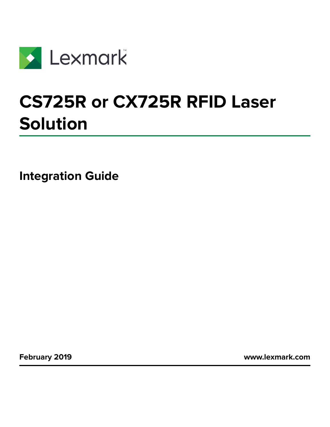

# **CS725R or CX725R RFID Laser Solution**

**Integration Guide**

**February 2019 [www.lexmark.com](http://www.lexmark.com)**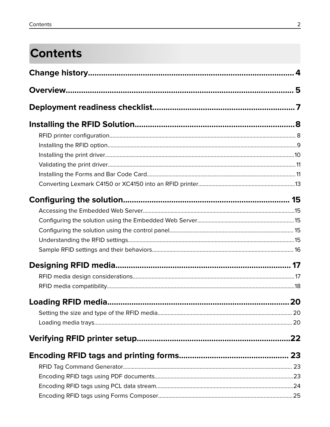## **Contents**

| 20 |
|----|
|    |
|    |
|    |
|    |
|    |
|    |
|    |
|    |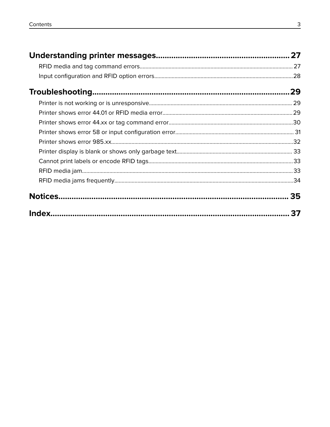| 37 |
|----|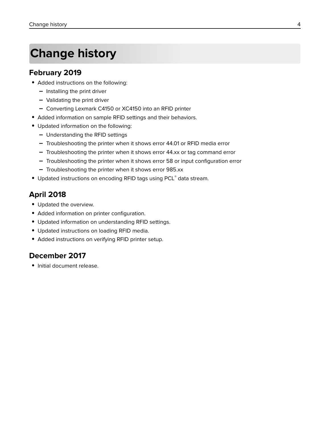## <span id="page-3-0"></span>**Change history**

#### **February 2019**

- **•** Added instructions on the following:
	- **–** Installing the print driver
	- **–** Validating the print driver
	- **–** Converting Lexmark C4150 or XC4150 into an RFID printer
- **•** Added information on sample RFID settings and their behaviors.
- **•** Updated information on the following:
	- **–** Understanding the RFID settings
	- **–** Troubleshooting the printer when it shows error 44.01 or RFID media error
	- **–** Troubleshooting the printer when it shows error 44.xx or tag command error
	- **–** Troubleshooting the printer when it shows error 58 or input configuration error
	- **–** Troubleshooting the printer when it shows error 985.xx
- **•** Updated instructions on encoding RFID tags using PCL® data stream.

### **April 2018**

- **•** Updated the overview.
- **•** Added information on printer configuration.
- **•** Updated information on understanding RFID settings.
- **•** Updated instructions on loading RFID media.
- **•** Added instructions on verifying RFID printer setup.

### **December 2017**

**•** Initial document release.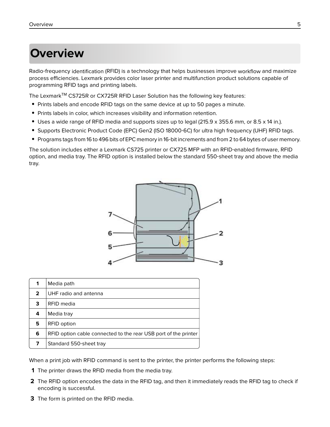## <span id="page-4-0"></span>**Overview**

Radio‑frequency identification (RFID) is a technology that helps businesses improve workflow and maximize process efficiencies. Lexmark provides color laser printer and multifunction product solutions capable of programming RFID tags and printing labels.

The Lexmark<sup>™</sup> CS725R or CX725R RFID Laser Solution has the following key features:

- **•** Prints labels and encode RFID tags on the same device at up to 50 pages a minute.
- **•** Prints labels in color, which increases visibility and information retention.
- **•** Uses a wide range of RFID media and supports sizes up to legal (215.9 x 355.6 mm, or 8.5 x 14 in.).
- **•** Supports Electronic Product Code (EPC) Gen2 (ISO 18000‑6C) for ultra high frequency (UHF) RFID tags.
- **•** Programs tags from 16 to 496 bits of EPC memory in 16‑bit increments and from 2 to 64 bytes of user memory.

The solution includes either a Lexmark CS725 printer or CX725 MFP with an RFID‑enabled firmware, RFID option, and media tray. The RFID option is installed below the standard 550‑sheet tray and above the media tray.



When a print job with RFID command is sent to the printer, the printer performs the following steps:

- **1** The printer draws the RFID media from the media tray.
- **2** The RFID option encodes the data in the RFID tag, and then it immediately reads the RFID tag to check if encoding is successful.
- **3** The form is printed on the RFID media.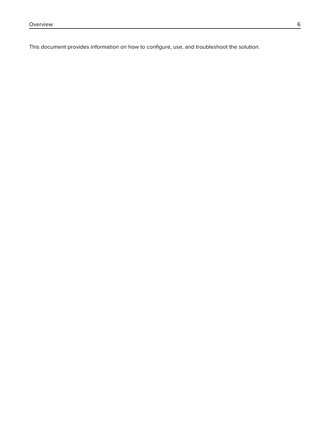This document provides information on how to configure, use, and troubleshoot the solution.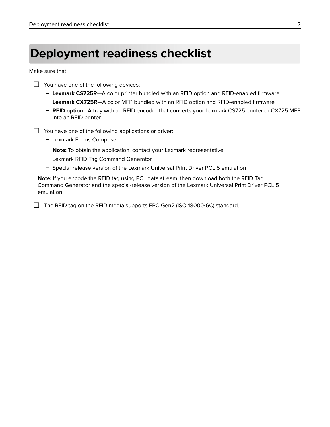## <span id="page-6-0"></span>**Deployment readiness checklist**

Make sure that:

- $\Box$  You have one of the following devices:
	- **– Lexmark CS725R**—A color printer bundled with an RFID option and RFID-enabled firmware
	- **– Lexmark CX725R**—A color MFP bundled with an RFID option and RFID-enabled firmware
	- **– RFID option**—A tray with an RFID encoder that converts your Lexmark CS725 printer or CX725 MFP into an RFID printer
- $\Box$  You have one of the following applications or driver:
	- **–** Lexmark Forms Composer
		- **Note:** To obtain the application, contact your Lexmark representative.
	- **–** Lexmark RFID Tag Command Generator
	- **–** Special‑release version of the Lexmark Universal Print Driver PCL 5 emulation

**Note:** If you encode the RFID tag using PCL data stream, then download both the RFID Tag Command Generator and the special‑release version of the Lexmark Universal Print Driver PCL 5 emulation.

 $\Box$  The RFID tag on the RFID media supports EPC Gen2 (ISO 18000-6C) standard.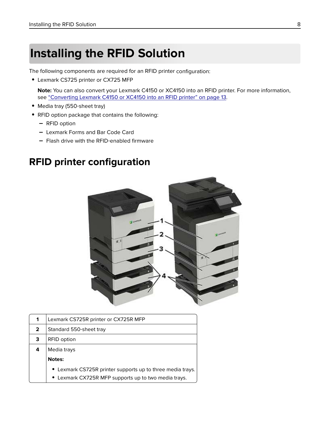## <span id="page-7-0"></span>**Installing the RFID Solution**

The following components are required for an RFID printer configuration:

**•** Lexmark CS725 printer or CX725 MFP

**Note:** You can also convert your Lexmark C4150 or XC4150 into an RFID printer. For more information, see ["Converting Lexmark C4150 or XC4150 into an RFID printer" on page 13.](#page-12-0)

- **•** Media tray (550‑sheet tray)
- **•** RFID option package that contains the following:
	- **–** RFID option
	- **–** Lexmark Forms and Bar Code Card
	- **–** Flash drive with the RFID‑enabled firmware

## **RFID printer configuration**



| 1 | Lexmark CS725R printer or CX725R MFP                       |  |  |
|---|------------------------------------------------------------|--|--|
| 2 | Standard 550-sheet tray                                    |  |  |
| 3 | RFID option                                                |  |  |
| 4 | Media trays                                                |  |  |
|   | <b>Notes:</b>                                              |  |  |
|   | • Lexmark CS725R printer supports up to three media trays. |  |  |
|   | • Lexmark CX725R MFP supports up to two media trays.       |  |  |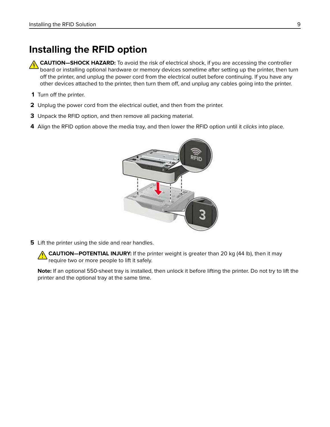## <span id="page-8-0"></span>**Installing the RFID option**

**CAUTION—SHOCK HAZARD:** To avoid the risk of electrical shock, if you are accessing the controller board or installing optional hardware or memory devices sometime after setting up the printer, then turn off the printer, and unplug the power cord from the electrical outlet before continuing. If you have any other devices attached to the printer, then turn them off, and unplug any cables going into the printer.

- **1** Turn off the printer.
- **2** Unplug the power cord from the electrical outlet, and then from the printer.
- **3** Unpack the RFID option, and then remove all packing material.
- **4** Align the RFID option above the media tray, and then lower the RFID option until it clicks into place.



**5** Lift the printer using the side and rear handles.

**CAUTION—POTENTIAL INJURY:** If the printer weight is greater than 20 kg (44 lb), then it may require two or more people to lift it safely.

**Note:** If an optional 550‑sheet tray is installed, then unlock it before lifting the printer. Do not try to lift the printer and the optional tray at the same time.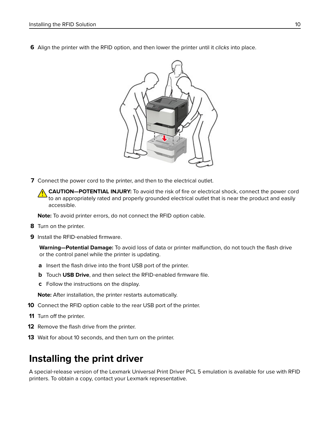<span id="page-9-0"></span>**6** Align the printer with the RFID option, and then lower the printer until it clicks into place.



**7** Connect the power cord to the printer, and then to the electrical outlet.

**CAUTION—POTENTIAL INJURY:** To avoid the risk of fire or electrical shock, connect the power cord to an appropriately rated and properly grounded electrical outlet that is near the product and easily accessible.

**Note:** To avoid printer errors, do not connect the RFID option cable.

- **8** Turn on the printer.
- **9** Install the RFID-enabled firmware.

**Warning—Potential Damage:** To avoid loss of data or printer malfunction, do not touch the flash drive or the control panel while the printer is updating.

- **a** Insert the flash drive into the front USB port of the printer.
- **b** Touch USB Drive, and then select the RFID-enabled firmware file.
- **c** Follow the instructions on the display.

**Note:** After installation, the printer restarts automatically.

- **10** Connect the RFID option cable to the rear USB port of the printer.
- **11** Turn off the printer.
- **12** Remove the flash drive from the printer.
- **13** Wait for about 10 seconds, and then turn on the printer.

## **Installing the print driver**

A special‑release version of the Lexmark Universal Print Driver PCL 5 emulation is available for use with RFID printers. To obtain a copy, contact your Lexmark representative.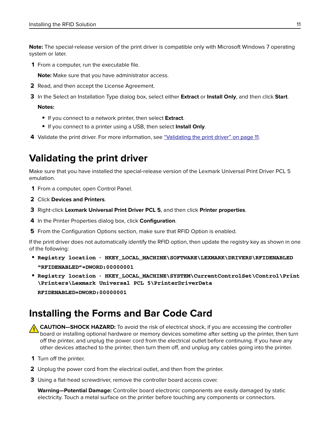<span id="page-10-0"></span>**Note:** The special-release version of the print driver is compatible only with Microsoft Windows 7 operating system or later.

**1** From a computer, run the executable file.

**Note:** Make sure that you have administrator access.

- **2** Read, and then accept the License Agreement.
- **3** In the Select an Installation Type dialog box, select either **Extract** or **Install Only**, and then click **Start**.

**Notes:**

- **•** If you connect to a network printer, then select **Extract**.
- **•** If you connect to a printer using a USB, then select **Install Only**.
- **4** Validate the print driver. For more information, see "Validating the print driver" on page 11.

## **Validating the print driver**

Make sure that you have installed the special-release version of the Lexmark Universal Print Driver PCL 5 emulation.

- **1** From a computer, open Control Panel.
- **2** Click **Devices and Printers**.
- **3** Right‑click **Lexmark Universal Print Driver PCL 5**, and then click **Printer properties**.
- **4** In the Printer Properties dialog box, click **Configuration**.
- **5** From the Configuration Options section, make sure that RFID Option is enabled.

If the print driver does not automatically identify the RFID option, then update the registry key as shown in one of the following:

- **• Registry location** ‑ **HKEY\_LOCAL\_MACHINE\SOFTWARE\LEXMARK\DRIVERS\RFIDENABLED "RFIDENABLED"=DWORD:00000001**
- **• Registry location** ‑ **HKEY\_LOCAL\_MACHINE\SYSTEM\CurrentControlSet\Control\Print \Printers\Lexmark Universal PCL 5\PrinterDriverData**

**RFIDENABLED=DWORD:00000001**

## **Installing the Forms and Bar Code Card**

**CAUTION—SHOCK HAZARD:** To avoid the risk of electrical shock, if you are accessing the controller board or installing optional hardware or memory devices sometime after setting up the printer, then turn off the printer, and unplug the power cord from the electrical outlet before continuing. If you have any other devices attached to the printer, then turn them off, and unplug any cables going into the printer.

- **1** Turn off the printer.
- **2** Unplug the power cord from the electrical outlet, and then from the printer.
- **3** Using a flat-head screwdriver, remove the controller board access cover.

**Warning—Potential Damage:** Controller board electronic components are easily damaged by static electricity. Touch a metal surface on the printer before touching any components or connectors.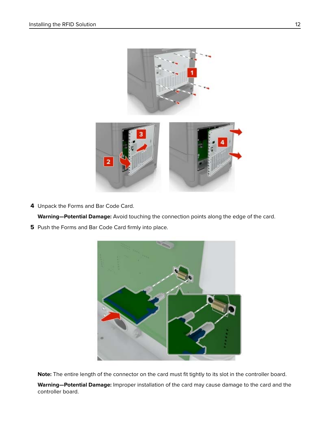

**4** Unpack the Forms and Bar Code Card.

**Warning—Potential Damage:** Avoid touching the connection points along the edge of the card.

**5** Push the Forms and Bar Code Card firmly into place.



**Note:** The entire length of the connector on the card must fit tightly to its slot in the controller board.

**Warning—Potential Damage:** Improper installation of the card may cause damage to the card and the controller board.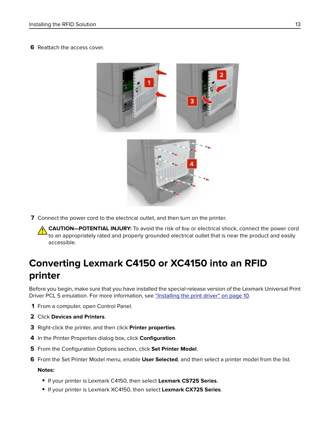#### <span id="page-12-0"></span>**6** Reattach the access cover.



**7** Connect the power cord to the electrical outlet, and then turn on the printer.

**CAUTION—POTENTIAL INJURY:** To avoid the risk of fire or electrical shock, connect the power cord to an appropriately rated and properly grounded electrical outlet that is near the product and easily accessible.

## **Converting Lexmark C4150 or XC4150 into an RFID printer**

Before you begin, make sure that you have installed the special-release version of the Lexmark Universal Print Driver PCL 5 emulation. For more information, see ["Installing the print driver" on page 10](#page-9-0).

- **1** From a computer, open Control Panel.
- **2** Click **Devices and Printers**.
- **3** Right‑click the printer, and then click **Printer properties**.
- **4** In the Printer Properties dialog box, click **Configuration**.
- **5** From the Configuration Options section, click **Set Printer Model**.
- **6** From the Set Printer Model menu, enable **User Selected**, and then select a printer model from the list.

#### **Notes:**

- **•** If your printer is Lexmark C4150, then select **Lexmark CS725 Series**.
- **•** If your printer is Lexmark XC4150, then select **Lexmark CX725 Series**.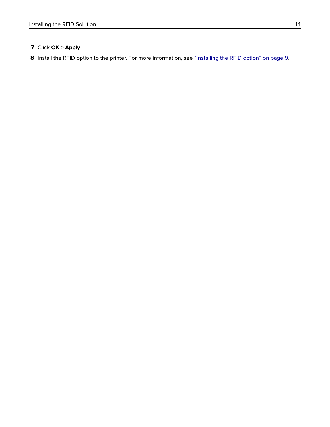#### Click **OK** > **Apply**.

Install the RFID option to the printer. For more information, see ["Installing the RFID option" on page 9.](#page-8-0)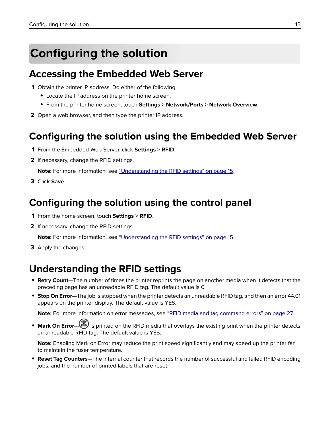## <span id="page-14-0"></span>**Configuring the solution**

## **Accessing the Embedded Web Server**

- **1** Obtain the printer IP address. Do either of the following:
	- **•** Locate the IP address on the printer home screen.
	- **•** From the printer home screen, touch **Settings** > **Network/Ports** > **Network Overview**.
- **2** Open a web browser, and then type the printer IP address.

## **Configuring the solution using the Embedded Web Server**

- **1** From the Embedded Web Server, click **Settings** > **RFID**.
- **2** If necessary, change the RFID settings.

**Note:** For more information, see "Understanding the RFID settings" on page 15.

**3** Click **Save**.

## **Configuring the solution using the control panel**

- **1** From the home screen, touch **Settings** > **RFID**.
- **2** If necessary, change the RFID settings.

**Note:** For more information, see "Understanding the RFID settings" on page 15.

**3** Apply the changes.

## **Understanding the RFID settings**

- **• Retry Count**—The number of times the printer reprints the page on another media when it detects that the preceding page has an unreadable RFID tag. The default value is 0.
- **• Stop On Error**—The job is stopped when the printer detects an unreadable RFID tag, and then an error 44.01 appears on the printer display. The default value is YES.

**Note:** For more information on error messages, see ["RFID media and tag command errors" on page 27.](#page-26-0)

• **Mark On Error—<sup>3</sup>** is printed on the RFID media that overlays the existing print when the printer detects an unreadable RFID tag. The default value is YES.

**Note:** Enabling Mark on Error may reduce the print speed significantly and may speed up the printer fan to maintain the fuser temperature.

**• Reset Tag Counters**—The internal counter that records the number of successful and failed RFID encoding jobs, and the number of printed labels that are reset.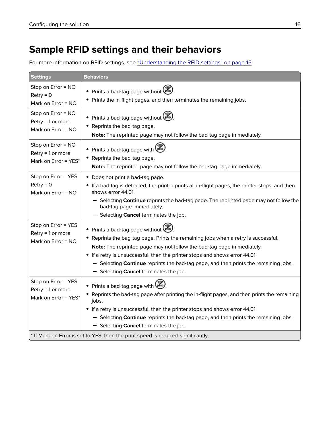## <span id="page-15-0"></span>**Sample RFID settings and their behaviors**

For more information on RFID settings, see ["Understanding the RFID settings" on page 15.](#page-14-0)

| <b>Settings</b>                                                                  | <b>Behaviors</b>                                                                                                                                                                                                                                                                                                                                                                                               |  |
|----------------------------------------------------------------------------------|----------------------------------------------------------------------------------------------------------------------------------------------------------------------------------------------------------------------------------------------------------------------------------------------------------------------------------------------------------------------------------------------------------------|--|
| Stop on Error = NO<br>$Retry = 0$<br>Mark on Error = NO                          | • Prints a bad-tag page without<br>• Prints the in-flight pages, and then terminates the remaining jobs.                                                                                                                                                                                                                                                                                                       |  |
| Stop on Error = NO<br>Retry = 1 or more<br>Mark on Error = NO                    | • Prints a bad-tag page without<br>Reprints the bad-tag page.<br>Note: The reprinted page may not follow the bad-tag page immediately.                                                                                                                                                                                                                                                                         |  |
| Stop on Error = NO<br>Retry = 1 or more<br>Mark on Error = YES*                  | • Prints a bad-tag page with was<br>• Reprints the bad-tag page.<br>Note: The reprinted page may not follow the bad-tag page immediately.                                                                                                                                                                                                                                                                      |  |
| Stop on Error = YES<br>$Retry = 0$<br>Mark on Error $= NO$                       | • Does not print a bad-tag page.<br>• If a bad tag is detected, the printer prints all in-flight pages, the printer stops, and then<br>shows error 44.01.<br>- Selecting Continue reprints the bad-tag page. The reprinted page may not follow the<br>bad-tag page immediately.<br>- Selecting Cancel terminates the job.                                                                                      |  |
| Stop on Error = YES<br>Retry = 1 or more<br>Mark on Error = NO                   | • Prints a bad-tag page without<br>• Reprints the bag-tag page. Prints the remaining jobs when a retry is successful.<br>Note: The reprinted page may not follow the bad-tag page immediately.<br>• If a retry is unsuccessful, then the printer stops and shows error 44.01.<br>- Selecting Continue reprints the bad-tag page, and then prints the remaining jobs.<br>- Selecting Cancel terminates the job. |  |
| Stop on Error = YES<br>Retry = 1 or more<br>Mark on Error = YES*                 | • Prints a bad-tag page with<br>• Reprints the bad-tag page after printing the in-flight pages, and then prints the remaining<br>jobs.<br>• If a retry is unsuccessful, then the printer stops and shows error 44.01.<br>- Selecting <b>Continue</b> reprints the bad-tag page, and then prints the remaining jobs.<br>- Selecting Cancel terminates the job.                                                  |  |
| * If Mark on Error is set to YES, then the print speed is reduced significantly. |                                                                                                                                                                                                                                                                                                                                                                                                                |  |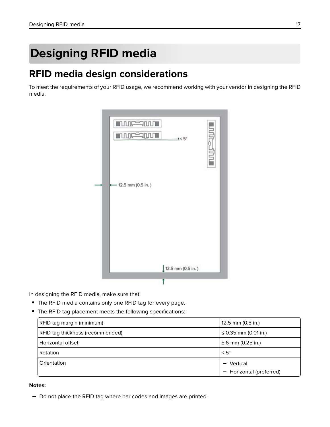## <span id="page-16-0"></span>**Designing RFID media**

## **RFID media design considerations**

To meet the requirements of your RFID usage, we recommend working with your vendor in designing the RFID media.

| <b>INDEPENDIT</b><br><b>TUUC SUUT</b> | $3 < 5^\circ$       | <b>Little-Strue</b> |
|---------------------------------------|---------------------|---------------------|
| 12.5 mm (0.5 in.)                     |                     |                     |
|                                       |                     |                     |
|                                       | $12.5$ mm (0.5 in.) |                     |

In designing the RFID media, make sure that:

- **•** The RFID media contains only one RFID tag for every page.
- **•** The RFID tag placement meets the following specifications:

| RFID tag margin (minimum)        | $12.5$ mm (0.5 in.)         |
|----------------------------------|-----------------------------|
| RFID tag thickness (recommended) | ≤ 0.35 mm (0.01 in.)        |
| Horizontal offset                | ± 6 mm (0.25 in.)           |
| Rotation                         | $\leq$ 5°                   |
| Orientation                      | Vertical<br>$\qquad \qquad$ |
|                                  | - Horizontal (preferred)    |

#### **Notes:**

**–** Do not place the RFID tag where bar codes and images are printed.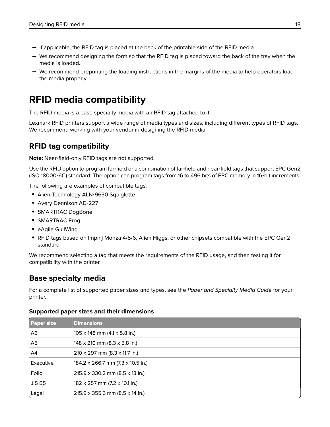- <span id="page-17-0"></span>**–** If applicable, the RFID tag is placed at the back of the printable side of the RFID media.
- **–** We recommend designing the form so that the RFID tag is placed toward the back of the tray when the media is loaded.
- **–** We recommend preprinting the loading instructions in the margins of the media to help operators load the media properly.

## **RFID media compatibility**

The RFID media is a base specialty media with an RFID tag attached to it.

Lexmark RFID printers support a wide range of media types and sizes, including different types of RFID tags. We recommend working with your vendor in designing the RFID media.

#### **RFID tag compatibility**

**Note:** Near‑field‑only RFID tags are not supported.

Use the RFID option to program far-field or a combination of far-field and near-field tags that support EPC Gen2 (ISO 18000‑6C) standard. The option can program tags from 16 to 496 bits of EPC memory in 16‑bit increments.

The following are examples of compatible tags:

- **•** Alien Technology ALN‑9630 Squiglette
- **•** Avery Dennison AD‑227
- **•** SMARTRAC DogBone
- **•** SMARTRAC Frog
- **•** eAgile GullWing
- **•** RFID tags based on Impinj Monza 4/5/6, Alien Higgs, or other chipsets compatible with the EPC Gen2 standard

We recommend selecting a tag that meets the requirements of the RFID usage, and then testing it for compatibility with the printer.

#### **Base specialty media**

For a complete list of supported paper sizes and types, see the Paper and Specialty Media Guide for your printer.

| <b>Paper size</b> | <b>Dimensions</b>                           |
|-------------------|---------------------------------------------|
| A6                | $105 \times 148$ mm $(4.1 \times 5.8$ in.)  |
| A5                | $148 \times 210$ mm (8.3 x 5.8 in.)         |
| A4                | $210 \times 297$ mm (8.3 x 11.7 in.)        |
| Executive         | 184.2 x 266.7 mm (7.3 x 10.5 in.)           |
| Folio             | $215.9 \times 330.2$ mm (8.5 x 13 in.)      |
| JIS B5            | $182 \times 257$ mm (7.2 $\times$ 10.1 in.) |
| Legal             | 215.9 x 355.6 mm (8.5 x 14 in.)             |

#### **Supported paper sizes and their dimensions**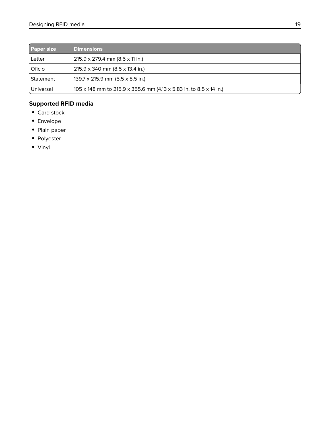| <b>Paper size</b> | <b>Dimensions</b>                                                  |
|-------------------|--------------------------------------------------------------------|
| Letter            | $215.9 \times 279.4 \text{ mm}$ (8.5 x 11 in.)                     |
| Oficio            | $215.9 \times 340$ mm (8.5 x 13.4 in.)                             |
| Statement         | $139.7 \times 215.9$ mm (5.5 x 8.5 in.)                            |
| Universal         | 105 x 148 mm to 215.9 x 355.6 mm (4.13 x 5.83 in. to 8.5 x 14 in.) |

#### **Supported RFID media**

- **•** Card stock
- **•** Envelope
- **•** Plain paper
- **•** Polyester
- **•** Vinyl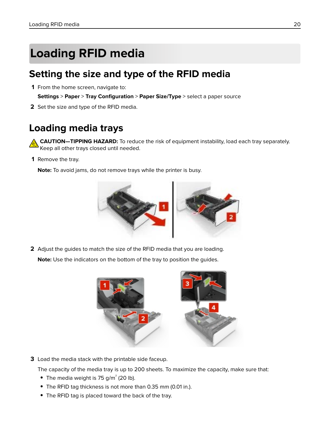## <span id="page-19-0"></span>**Loading RFID media**

## **Setting the size and type of the RFID media**

**1** From the home screen, navigate to:

**Settings** > **Paper** > **Tray Configuration** > **Paper Size/Type** > select a paper source

**2** Set the size and type of the RFID media.

## **Loading media trays**

**CAUTION—TIPPING HAZARD:** To reduce the risk of equipment instability, load each tray separately. Keep all other trays closed until needed.

**1** Remove the tray.

**Note:** To avoid jams, do not remove trays while the printer is busy.



**2** Adjust the guides to match the size of the RFID media that you are loading.

**Note:** Use the indicators on the bottom of the tray to position the guides.



**3** Load the media stack with the printable side faceup.

The capacity of the media tray is up to 200 sheets. To maximize the capacity, make sure that:

- **•** The media weight is 75 g/m<sup>²</sup> (20 lb).
- **•** The RFID tag thickness is not more than 0.35 mm (0.01 in.).
- **•** The RFID tag is placed toward the back of the tray.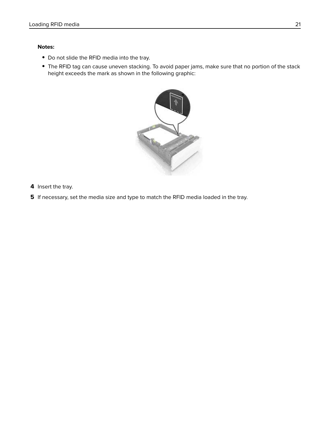#### **Notes:**

- **•** Do not slide the RFID media into the tray.
- **•** The RFID tag can cause uneven stacking. To avoid paper jams, make sure that no portion of the stack height exceeds the mark as shown in the following graphic:



- **4** Insert the tray.
- **5** If necessary, set the media size and type to match the RFID media loaded in the tray.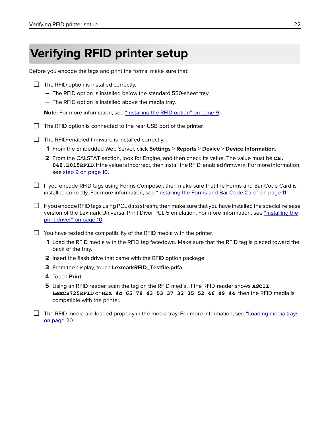## <span id="page-21-0"></span>**Verifying RFID printer setup**

Before you encode the tags and print the forms, make sure that:

| $\Box$ The RFID option is installed correctly.                    |
|-------------------------------------------------------------------|
| - The RFID option is installed below the standard 550-sheet tray. |

**–** The RFID option is installed above the media tray.

**Note:** For more information, see ["Installing the RFID option" on page 9.](#page-8-0)

- $\Box$  The RFID option is connected to the rear USB port of the printer.
- $\Box$  The RFID-enabled firmware is installed correctly.
	- **1** From the Embedded Web Server, click **Settings** > **Reports** > **Device** > **Device Information**.
	- **2** From the CALSTAT section, look for Engine, and then check its value. The value must be **CB. 040.E015RFID**. If the value is incorrect, then install the RFID‑enabled firmware. For more information, see [step 9 on page 10](#page-9-0).
- $\Box$  If you encode RFID tags using Forms Composer, then make sure that the Forms and Bar Code Card is installed correctly. For more information, see ["Installing the Forms and Bar Code Card" on page 11](#page-10-0).

 $\Box$  If you encode RFID tags using PCL data stream, then make sure that you have installed the special-release version of the Lexmark Universal Print Diver PCL 5 emulation. For more information, see ["Installing the](#page-9-0) [print driver" on page 10.](#page-9-0)

 $\Box$  You have tested the compatibility of the RFID media with the printer.

- **1** Load the RFID media with the RFID tag facedown. Make sure that the RFID tag is placed toward the back of the tray.
- **2** Insert the flash drive that came with the RFID option package.
- **3** From the display, touch **LexmarkRFID\_Testfile.pdfa**.
- **4** Touch **Print**.
- **5** Using an RFID reader, scan the tag on the RFID media. If the RFID reader shows **ASCII LexCS725RFID** or **HEX 4c 65 78 43 53 37 32 35 52 46 49 44**, then the RFID media is compatible with the printer.
- $\Box$  The RFID media are loaded properly in the media tray. For more information, see ["Loading media trays"](#page-19-0) [on page 20](#page-19-0).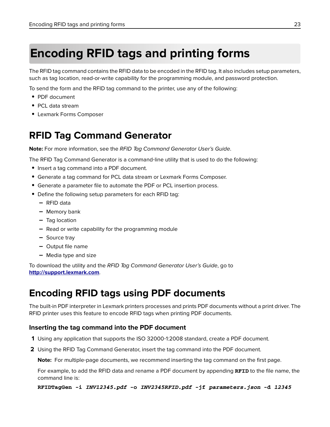## <span id="page-22-0"></span>**Encoding RFID tags and printing forms**

The RFID tag command contains the RFID data to be encoded in the RFID tag. It also includes setup parameters, such as tag location, read-or-write capability for the programming module, and password protection.

To send the form and the RFID tag command to the printer, use any of the following:

- **•** PDF document
- **•** PCL data stream
- **•** Lexmark Forms Composer

## **RFID Tag Command Generator**

**Note:** For more information, see the RFID Tag Command Generator User's Guide.

The RFID Tag Command Generator is a command-line utility that is used to do the following:

- **•** Insert a tag command into a PDF document.
- **•** Generate a tag command for PCL data stream or Lexmark Forms Composer.
- **•** Generate a parameter file to automate the PDF or PCL insertion process.
- **•** Define the following setup parameters for each RFID tag:
	- **–** RFID data
	- **–** Memory bank
	- **–** Tag location
	- **–** Read or write capability for the programming module
	- **–** Source tray
	- **–** Output file name
	- **–** Media type and size

To download the utility and the RFID Tag Command Generator User's Guide, go to **<http://support.lexmark.com>**.

### **Encoding RFID tags using PDF documents**

The built-in PDF interpreter in Lexmark printers processes and prints PDF documents without a print driver. The RFID printer uses this feature to encode RFID tags when printing PDF documents.

#### **Inserting the tag command into the PDF document**

- **1** Using any application that supports the ISO 32000‑1:2008 standard, create a PDF document.
- **2** Using the RFID Tag Command Generator, insert the tag command into the PDF document.

**Note:** For multiple-page documents, we recommend inserting the tag command on the first page.

For example, to add the RFID data and rename a PDF document by appending **RFID** to the file name, the command line is:

#### **RFIDTagGen -i** *INV12345.pdf* **-o** *INV2345RFID.pdf* **-jf** *parameters.json* **-d** *12345*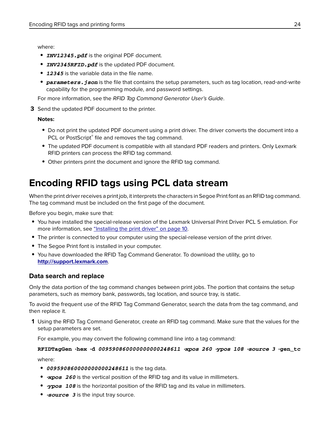<span id="page-23-0"></span>where:

- **•** *INV12345.pdf* is the original PDF document.
- **•** *INV2345RFID.pdf* is the updated PDF document.
- **•** *12345* is the variable data in the file name.
- **parameters. json** is the file that contains the setup parameters, such as tag location, read-and-write capability for the programming module, and password settings.

For more information, see the RFID Tag Command Generator User's Guide.

**3** Send the updated PDF document to the printer.

#### **Notes:**

- **•** Do not print the updated PDF document using a print driver. The driver converts the document into a PCL or PostScript<sup>®</sup> file and removes the tag command.
- **•** The updated PDF document is compatible with all standard PDF readers and printers. Only Lexmark RFID printers can process the RFID tag command.
- **•** Other printers print the document and ignore the RFID tag command.

## **Encoding RFID tags using PCL data stream**

When the print driver receives a print job, it interprets the characters in Segoe Print font as an RFID tag command. The tag command must be included on the first page of the document.

Before you begin, make sure that:

- **•** You have installed the special‑release version of the Lexmark Universal Print Driver PCL 5 emulation. For more information, see ["Installing the print driver" on page 10.](#page-9-0)
- The printer is connected to your computer using the special-release version of the print driver.
- **•** The Segoe Print font is installed in your computer.
- **•** You have downloaded the RFID Tag Command Generator. To download the utility, go to **<http://support.lexmark.com>**.

#### **Data search and replace**

Only the data portion of the tag command changes between print jobs. The portion that contains the setup parameters, such as memory bank, passwords, tag location, and source tray, is static.

To avoid the frequent use of the RFID Tag Command Generator, search the data from the tag command, and then replace it.

**1** Using the RFID Tag Command Generator, create an RFID tag command. Make sure that the values for the setup parameters are set.

For example, you may convert the following command line into a tag command:

#### **RFIDTagGen** ‑**hex** ‑**d** *009590860000000000248611* ‑*xpos 260* ‑*ypos 108* ‑*source 3* ‑**gen\_tc** where:

- **•** *009590860000000000248611* is the tag data.
- *\*xpos 260* is the vertical position of the RFID tag and its value in millimeters.
- **•** ‑*ypos 108* is the horizontal position of the RFID tag and its value in millimeters.
- **•** ‑*source 3* is the input tray source.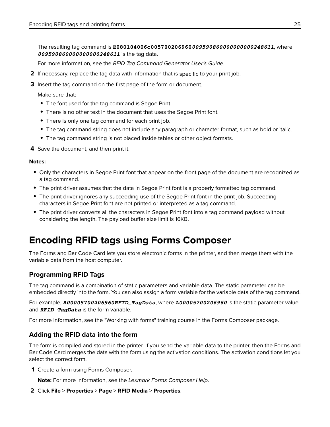<span id="page-24-0"></span>The resulting tag command is **E080104006c005700206960***009590860000000000248611*, where *009590860000000000248611* is the tag data.

For more information, see the RFID Tag Command Generator User's Guide.

- **2** If necessary, replace the tag data with information that is specific to your print job.
- **3** Insert the tag command on the first page of the form or document.

Make sure that:

- **•** The font used for the tag command is Segoe Print.
- **•** There is no other text in the document that uses the Segoe Print font.
- **•** There is only one tag command for each print job.
- **•** The tag command string does not include any paragraph or character format, such as bold or italic.
- **•** The tag command string is not placed inside tables or other object formats.

**4** Save the document, and then print it.

#### **Notes:**

- **•** Only the characters in Segoe Print font that appear on the front page of the document are recognized as a tag command.
- **•** The print driver assumes that the data in Segoe Print font is a properly formatted tag command.
- **•** The print driver ignores any succeeding use of the Segoe Print font in the print job. Succeeding characters in Segoe Print font are not printed or interpreted as a tag command.
- **•** The print driver converts all the characters in Segoe Print font into a tag command payload without considering the length. The payload buffer size limit is 16KB.

## **Encoding RFID tags using Forms Composer**

The Forms and Bar Code Card lets you store electronic forms in the printer, and then merge them with the variable data from the host computer.

#### **Programming RFID Tags**

The tag command is a combination of static parameters and variable data. The static parameter can be embedded directly into the form. You can also assign a form variable for the variable data of the tag command.

For example, *A00005700206960RFID\_TagData*, where *A00005700206960* is the static parameter value and *RFID\_TagData* is the form variable.

For more information, see the "Working with forms" training course in the Forms Composer package.

#### **Adding the RFID data into the form**

The form is compiled and stored in the printer. If you send the variable data to the printer, then the Forms and Bar Code Card merges the data with the form using the activation conditions. The activation conditions let you select the correct form.

**1** Create a form using Forms Composer.

**Note:** For more information, see the Lexmark Forms Composer Help.

**2** Click **File** > **Properties** > **Page** > **RFID Media** > **Properties**.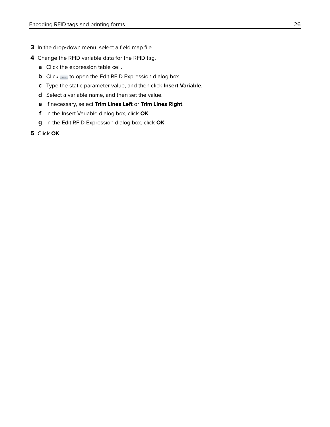- **3** In the drop-down menu, select a field map file.
- **4** Change the RFID variable data for the RFID tag.
	- **a** Click the expression table cell.
	- **b** Click  $\lfloor \frac{m}{2} \rfloor$  to open the Edit RFID Expression dialog box.
	- **c** Type the static parameter value, and then click **Insert Variable**.
	- **d** Select a variable name, and then set the value.
	- **e** If necessary, select **Trim Lines Left** or **Trim Lines Right**.
	- **f** In the Insert Variable dialog box, click **OK**.
	- **g** In the Edit RFID Expression dialog box, click **OK**.
- **5** Click **OK**.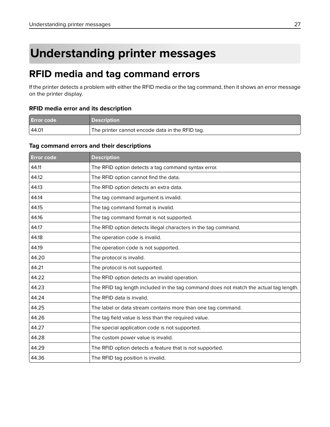## <span id="page-26-0"></span>**Understanding printer messages**

## **RFID media and tag command errors**

If the printer detects a problem with either the RFID media or the tag command, then it shows an error message on the printer display.

#### **RFID media error and its description**

| <b>Error code</b> |                                                 |
|-------------------|-------------------------------------------------|
| 44.01             | The printer cannot encode data in the RFID tag. |

#### **Tag command errors and their descriptions**

| <b>Error code</b> | <b>Description</b>                                                                    |
|-------------------|---------------------------------------------------------------------------------------|
| 44.11             | The RFID option detects a tag command syntax error.                                   |
| 44.12             | The RFID option cannot find the data.                                                 |
| 44.13             | The RFID option detects an extra data.                                                |
| 44.14             | The tag command argument is invalid.                                                  |
| 44.15             | The tag command format is invalid.                                                    |
| 44.16             | The tag command format is not supported.                                              |
| 44.17             | The RFID option detects illegal characters in the tag command.                        |
| 44.18             | The operation code is invalid.                                                        |
| 44.19             | The operation code is not supported.                                                  |
| 44.20             | The protocol is invalid.                                                              |
| 44.21             | The protocol is not supported.                                                        |
| 44.22             | The RFID option detects an invalid operation.                                         |
| 44.23             | The RFID tag length included in the tag command does not match the actual tag length. |
| 44.24             | The RFID data is invalid.                                                             |
| 44.25             | The label or data stream contains more than one tag command.                          |
| 44.26             | The tag field value is less than the required value.                                  |
| 44.27             | The special application code is not supported.                                        |
| 44.28             | The custom power value is invalid.                                                    |
| 44.29             | The RFID option detects a feature that is not supported.                              |
| 44.36             | The RFID tag position is invalid.                                                     |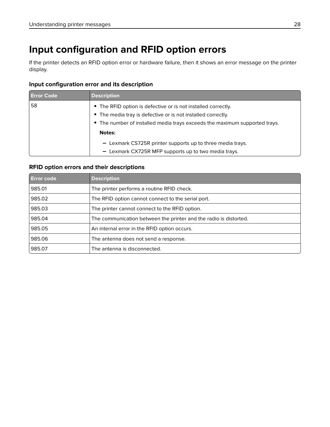## <span id="page-27-0"></span>**Input configuration and RFID option errors**

If the printer detects an RFID option error or hardware failure, then it shows an error message on the printer display.

#### **Input configuration error and its description**

| <b>Error Code</b> | <b>Description</b>                                                                                                            |  |
|-------------------|-------------------------------------------------------------------------------------------------------------------------------|--|
| 58                | • The RFID option is defective or is not installed correctly.<br>• The media tray is defective or is not installed correctly. |  |
|                   | • The number of installed media trays exceeds the maximum supported trays.<br><b>Notes:</b>                                   |  |
|                   | - Lexmark CS725R printer supports up to three media trays.<br>- Lexmark CX725R MFP supports up to two media trays.            |  |

#### **RFID option errors and their descriptions**

| <b>Error code</b> | <b>Description</b>                                                |
|-------------------|-------------------------------------------------------------------|
| 985.01            | The printer performs a routine RFID check.                        |
| 985.02            | The RFID option cannot connect to the serial port.                |
| 985.03            | The printer cannot connect to the RFID option.                    |
| 985.04            | The communication between the printer and the radio is distorted. |
| 985.05            | An internal error in the RFID option occurs.                      |
| 985.06            | The antenna does not send a response.                             |
| 985.07            | The antenna is disconnected.                                      |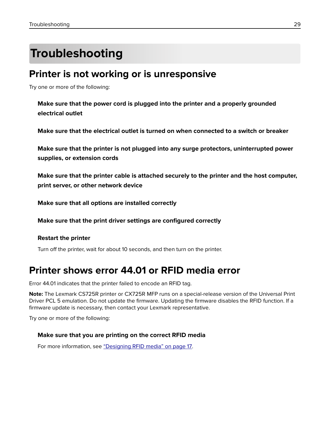## <span id="page-28-0"></span>**Troubleshooting**

### **Printer is not working or is unresponsive**

Try one or more of the following:

**Make sure that the power cord is plugged into the printer and a properly grounded electrical outlet**

**Make sure that the electrical outlet is turned on when connected to a switch or breaker**

**Make sure that the printer is not plugged into any surge protectors, uninterrupted power supplies, or extension cords**

**Make sure that the printer cable is attached securely to the printer and the host computer, print server, or other network device**

**Make sure that all options are installed correctly**

**Make sure that the print driver settings are configured correctly**

#### **Restart the printer**

Turn off the printer, wait for about 10 seconds, and then turn on the printer.

## **Printer shows error 44.01 or RFID media error**

Error 44.01 indicates that the printer failed to encode an RFID tag.

**Note:** The Lexmark CS725R printer or CX725R MFP runs on a special-release version of the Universal Print Driver PCL 5 emulation. Do not update the firmware. Updating the firmware disables the RFID function. If a firmware update is necessary, then contact your Lexmark representative.

Try one or more of the following:

#### **Make sure that you are printing on the correct RFID media**

For more information, see ["Designing RFID media" on page 17](#page-16-0).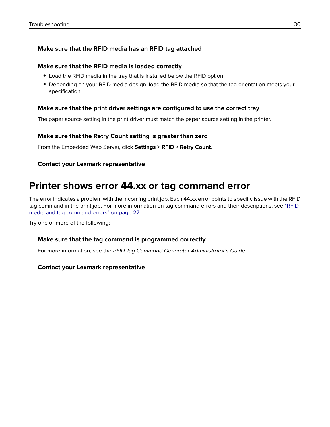#### <span id="page-29-0"></span>**Make sure that the RFID media has an RFID tag attached**

#### **Make sure that the RFID media is loaded correctly**

- **•** Load the RFID media in the tray that is installed below the RFID option.
- **•** Depending on your RFID media design, load the RFID media so that the tag orientation meets your specification.

#### **Make sure that the print driver settings are configured to use the correct tray**

The paper source setting in the print driver must match the paper source setting in the printer.

#### **Make sure that the Retry Count setting is greater than zero**

From the Embedded Web Server, click **Settings** > **RFID** > **Retry Count**.

#### **Contact your Lexmark representative**

## **Printer shows error 44.xx or tag command error**

The error indicates a problem with the incoming print job. Each 44.xx error points to specific issue with the RFID tag command in the print job. For more information on tag command errors and their descriptions, see ["RFID](#page-26-0) [media and tag command errors" on page 27.](#page-26-0)

Try one or more of the following:

#### **Make sure that the tag command is programmed correctly**

For more information, see the RFID Tag Command Generator Administrator's Guide.

#### **Contact your Lexmark representative**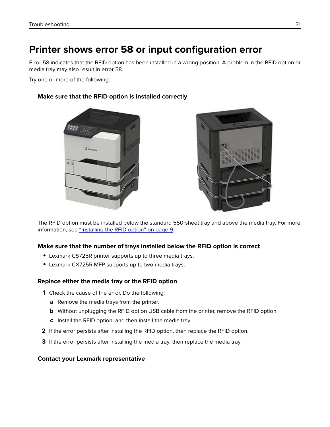## <span id="page-30-0"></span>**Printer shows error 58 or input configuration error**

Error 58 indicates that the RFID option has been installed in a wrong position. A problem in the RFID option or media tray may also result in error 58.

Try one or more of the following:

#### **Make sure that the RFID option is installed correctly**





The RFID option must be installed below the standard 550‑sheet tray and above the media tray. For more information, see ["Installing the RFID option" on page 9](#page-8-0).

#### **Make sure that the number of trays installed below the RFID option is correct**

- **•** Lexmark CS725R printer supports up to three media trays.
- **•** Lexmark CX725R MFP supports up to two media trays.

#### **Replace either the media tray or the RFID option**

- **1** Check the cause of the error. Do the following:
	- **a** Remove the media trays from the printer.
	- **b** Without unplugging the RFID option USB cable from the printer, remove the RFID option.
	- **c** Install the RFID option, and then install the media tray.
- **2** If the error persists after installing the RFID option, then replace the RFID option.
- **3** If the error persists after installing the media tray, then replace the media tray.

#### **Contact your Lexmark representative**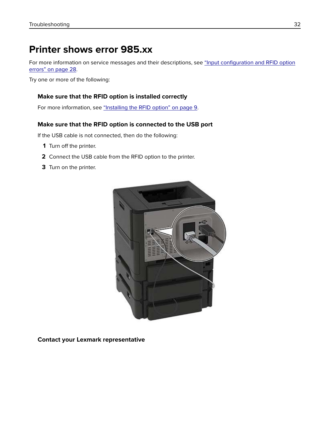## <span id="page-31-0"></span>**Printer shows error 985.xx**

For more information on service messages and their descriptions, see ["Input configuration and RFID option](#page-27-0) [errors" on page 28.](#page-27-0)

Try one or more of the following:

#### **Make sure that the RFID option is installed correctly**

For more information, see ["Installing the RFID option" on page 9](#page-8-0).

#### **Make sure that the RFID option is connected to the USB port**

If the USB cable is not connected, then do the following:

- **1** Turn off the printer.
- **2** Connect the USB cable from the RFID option to the printer.
- **3** Turn on the printer.



**Contact your Lexmark representative**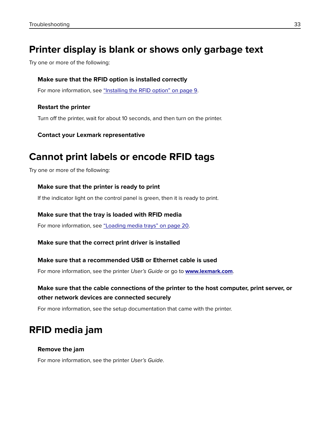## <span id="page-32-0"></span>**Printer display is blank or shows only garbage text**

Try one or more of the following:

#### **Make sure that the RFID option is installed correctly**

For more information, see ["Installing the RFID option" on page 9](#page-8-0).

#### **Restart the printer**

Turn off the printer, wait for about 10 seconds, and then turn on the printer.

#### **Contact your Lexmark representative**

### **Cannot print labels or encode RFID tags**

Try one or more of the following:

#### **Make sure that the printer is ready to print**

If the indicator light on the control panel is green, then it is ready to print.

#### **Make sure that the tray is loaded with RFID media**

For more information, see ["Loading media trays" on page 20](#page-19-0).

**Make sure that the correct print driver is installed**

#### **Make sure that a recommended USB or Ethernet cable is used**

For more information, see the printer User's Guide or go to **[www.lexmark.com](http://www.lexmark.com)**.

#### **Make sure that the cable connections of the printer to the host computer, print server, or other network devices are connected securely**

For more information, see the setup documentation that came with the printer.

## **RFID media jam**

#### **Remove the jam**

For more information, see the printer User's Guide.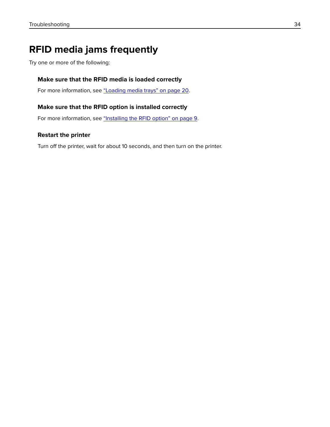## <span id="page-33-0"></span>**RFID media jams frequently**

Try one or more of the following:

#### **Make sure that the RFID media is loaded correctly**

For more information, see ["Loading media trays" on page 20](#page-19-0).

#### **Make sure that the RFID option is installed correctly**

For more information, see ["Installing the RFID option" on page 9](#page-8-0).

#### **Restart the printer**

Turn off the printer, wait for about 10 seconds, and then turn on the printer.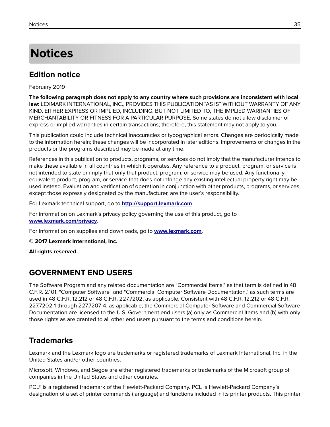## <span id="page-34-0"></span>**Notices**

### **Edition notice**

February 2019

**The following paragraph does not apply to any country where such provisions are inconsistent with local law:** LEXMARK INTERNATIONAL, INC., PROVIDES THIS PUBLICATION "AS IS" WITHOUT WARRANTY OF ANY KIND, EITHER EXPRESS OR IMPLIED, INCLUDING, BUT NOT LIMITED TO, THE IMPLIED WARRANTIES OF MERCHANTABILITY OR FITNESS FOR A PARTICULAR PURPOSE. Some states do not allow disclaimer of express or implied warranties in certain transactions; therefore, this statement may not apply to you.

This publication could include technical inaccuracies or typographical errors. Changes are periodically made to the information herein; these changes will be incorporated in later editions. Improvements or changes in the products or the programs described may be made at any time.

References in this publication to products, programs, or services do not imply that the manufacturer intends to make these available in all countries in which it operates. Any reference to a product, program, or service is not intended to state or imply that only that product, program, or service may be used. Any functionally equivalent product, program, or service that does not infringe any existing intellectual property right may be used instead. Evaluation and verification of operation in conjunction with other products, programs, or services, except those expressly designated by the manufacturer, are the user's responsibility.

For Lexmark technical support, go to **<http://support.lexmark.com>**.

For information on Lexmark's privacy policy governing the use of this product, go to **[www.lexmark.com/privacy](http://www.lexmark.com/privacy)**.

For information on supplies and downloads, go to **[www.lexmark.com](http://www.lexmark.com)**.

**© 2017 Lexmark International, Inc.**

**All rights reserved.**

### **GOVERNMENT END USERS**

The Software Program and any related documentation are "Commercial Items," as that term is defined in 48 C.F.R. 2.101, "Computer Software" and "Commercial Computer Software Documentation," as such terms are used in 48 C.F.R. 12.212 or 48 C.F.R. 227.7202, as applicable. Consistent with 48 C.F.R. 12.212 or 48 C.F.R. 227.7202-1 through 227.7207-4, as applicable, the Commercial Computer Software and Commercial Software Documentation are licensed to the U.S. Government end users (a) only as Commercial Items and (b) with only those rights as are granted to all other end users pursuant to the terms and conditions herein.

### **Trademarks**

Lexmark and the Lexmark logo are trademarks or registered trademarks of Lexmark International, Inc. in the United States and/or other countries.

Microsoft, Windows, and Segoe are either registered trademarks or trademarks of the Microsoft group of companies in the United States and other countries.

PCL® is a registered trademark of the Hewlett-Packard Company. PCL is Hewlett-Packard Company's designation of a set of printer commands (language) and functions included in its printer products. This printer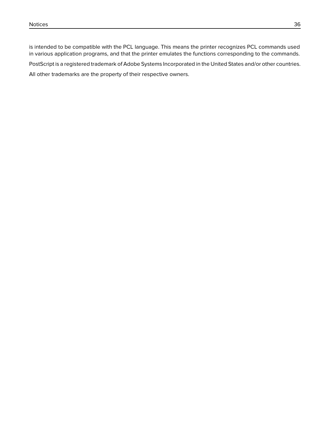is intended to be compatible with the PCL language. This means the printer recognizes PCL commands used in various application programs, and that the printer emulates the functions corresponding to the commands.

PostScript is a registered trademark of Adobe Systems Incorporated in the United States and/or other countries.

All other trademarks are the property of their respective owners.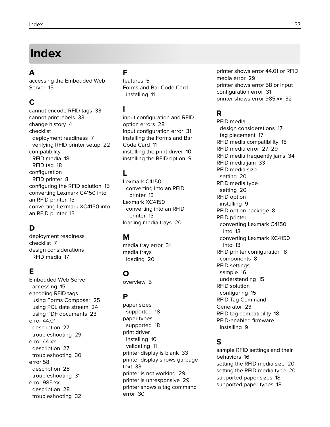## <span id="page-36-0"></span>**Index**

#### **A**

accessing the Embedded Web Server [15](#page-14-0)

### **C**

cannot encode RFID tags [33](#page-32-0) cannot print labels [33](#page-32-0) change history [4](#page-3-0) checklist deployment readiness [7](#page-6-0) verifying RFID printer setup [22](#page-21-0) compatibility RFID media [18](#page-17-0) RFID tag [18](#page-17-0) configuration RFID printer [8](#page-7-0) configuring the RFID solution [15](#page-14-0) converting Lexmark C4150 into an RFID printer [13](#page-12-0) converting Lexmark XC4150 into an RFID printer [13](#page-12-0)

### **D**

deployment readiness checklist [7](#page-6-0) design considerations RFID media [17](#page-16-0)

#### **E**

Embedded Web Server accessing [15](#page-14-0) encoding RFID tags using Forms Composer [25](#page-24-0) using PCL data stream [24](#page-23-0) using PDF documents [23](#page-22-0) error 44.01 description [27](#page-26-0) troubleshooting [29](#page-28-0) error 44.xx description [27](#page-26-0) troubleshooting [30](#page-29-0) error 58 description [28](#page-27-0) troubleshooting [31](#page-30-0) error 985.xx description [28](#page-27-0) troubleshooting [32](#page-31-0)

#### **F**

features [5](#page-4-0) Forms and Bar Code Card installing [11](#page-10-0)

#### **I**

input configuration and RFID option errors [28](#page-27-0) input configuration error [31](#page-30-0) installing the Forms and Bar Code Card [11](#page-10-0) installing the print driver [10](#page-9-0) installing the RFID option [9](#page-8-0)

### **L**

Lexmark C4150 converting into an RFID printer [13](#page-12-0) Lexmark XC4150 converting into an RFID printer [13](#page-12-0) loading media trays [20](#page-19-0)

#### **M**

media tray error [31](#page-30-0) media trays loading [20](#page-19-0)

### **O**

overview [5](#page-4-0)

#### **P**

paper sizes supported [18](#page-17-0) paper types supported [18](#page-17-0) print driver installing [10](#page-9-0) validating [11](#page-10-0) printer display is blank [33](#page-32-0) printer display shows garbage text [33](#page-32-0) printer is not working [29](#page-28-0) printer is unresponsive [29](#page-28-0) printer shows a tag command error [30](#page-29-0)

printer shows error 44.01 or RFID media error [29](#page-28-0) printer shows error 58 or input configuration error [31](#page-30-0) printer shows error 985.xx [32](#page-31-0)

#### **R**

RFID media design considerations [17](#page-16-0) tag placement [17](#page-16-0) RFID media compatibility [18](#page-17-0) RFID media error [27](#page-26-0)[, 29](#page-28-0) RFID media frequently jams [34](#page-33-0) RFID media jam [33](#page-32-0) RFID media size setting [20](#page-19-0) RFID media type setting [20](#page-19-0) RFID option installing [9](#page-8-0) RFID option package [8](#page-7-0) RFID printer converting Lexmark C4150 into [13](#page-12-0) converting Lexmark XC4150 into [13](#page-12-0) RFID printer configuration [8](#page-7-0) components [8](#page-7-0) RFID settings sample [16](#page-15-0) understanding [15](#page-14-0) RFID solution configuring [15](#page-14-0) RFID Tag Command Generator [23](#page-22-0) RFID tag compatibility [18](#page-17-0) RFID‑enabled firmware installing [9](#page-8-0)

#### **S**

sample RFID settings and their behaviors [16](#page-15-0) setting the RFID media size [20](#page-19-0) setting the RFID media type [20](#page-19-0) supported paper sizes [18](#page-17-0) supported paper types [18](#page-17-0)